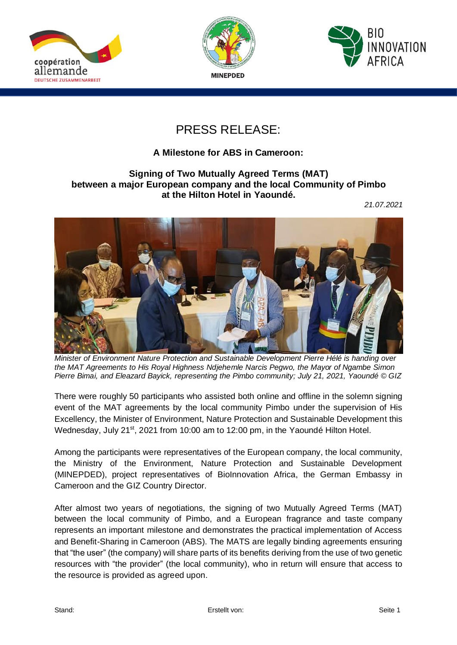





## PRESS RELEASE:

## **A Milestone for ABS in Cameroon:**

## **Signing of Two Mutually Agreed Terms (MAT) between a major European company and the local Community of Pimbo at the Hilton Hotel in Yaoundé.**

*21.07.2021*



*Minister of Environment Nature Protection and Sustainable Development Pierre Hélé is handing over the MAT Agreements to His Royal Highness Ndjehemle Narcis Pegwo, the Mayor of Ngambe Simon Pierre Bimai, and Eleazard Bayick, representing the Pimbo community; July 21, 2021, Yaoundé © GIZ*

There were roughly 50 participants who assisted both online and offline in the solemn signing event of the MAT agreements by the local community Pimbo under the supervision of His Excellency, the Minister of Environment, Nature Protection and Sustainable Development this Wednesday, July 21<sup>st</sup>, 2021 from 10:00 am to 12:00 pm, in the Yaoundé Hilton Hotel.

Among the participants were representatives of the European company, the local community, the Ministry of the Environment, Nature Protection and Sustainable Development (MINEPDED), project representatives of BioInnovation Africa, the German Embassy in Cameroon and the GIZ Country Director.

After almost two years of negotiations, the signing of two Mutually Agreed Terms (MAT) between the local community of Pimbo, and a European fragrance and taste company represents an important milestone and demonstrates the practical implementation of Access and Benefit-Sharing in Cameroon (ABS). The MATS are legally binding agreements ensuring that "the user" (the company) will share parts of its benefits deriving from the use of two genetic resources with "the provider" (the local community), who in return will ensure that access to the resource is provided as agreed upon.